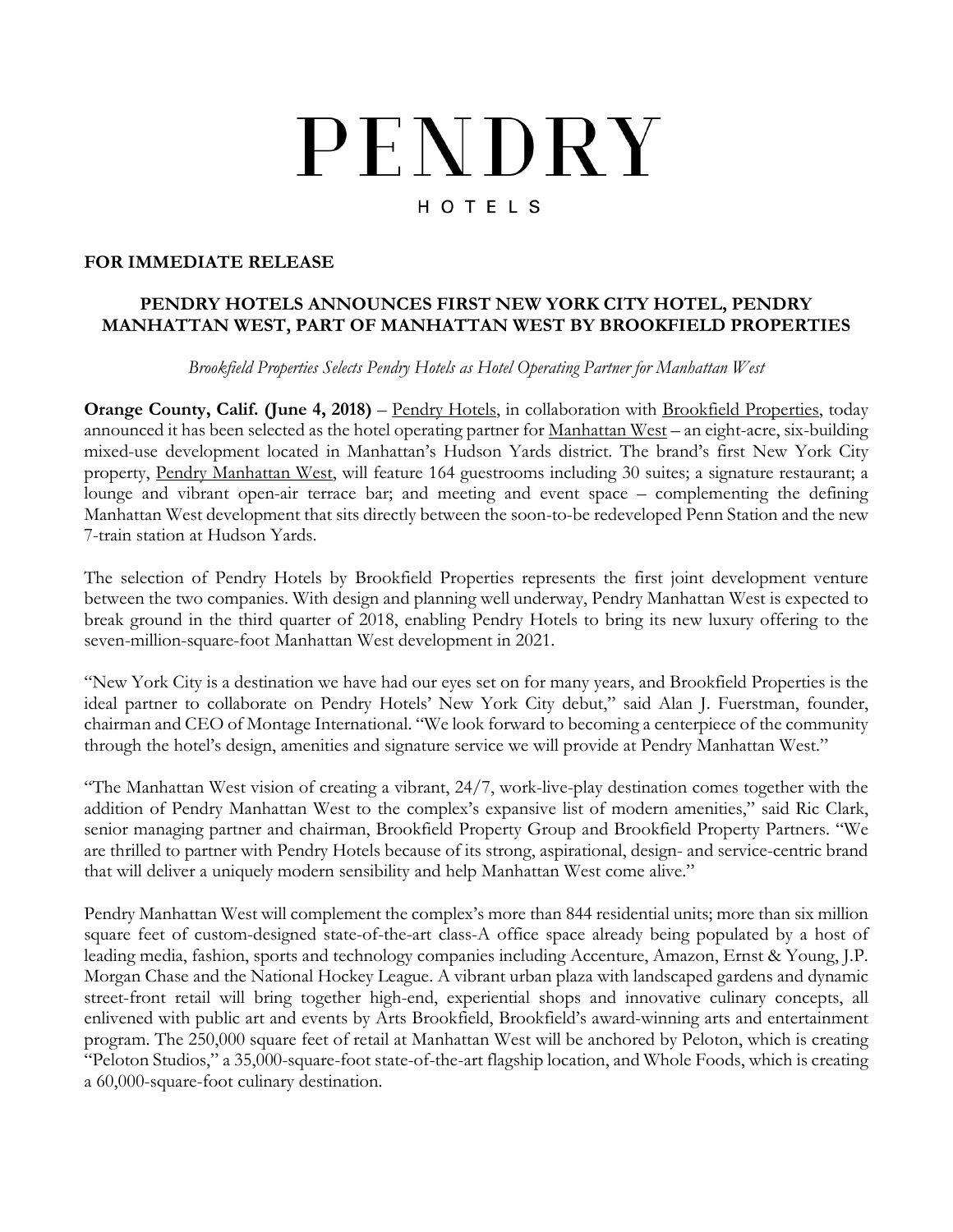# PENDRY HOTELS

### **FOR IMMEDIATE RELEASE**

## **PENDRY HOTELS ANNOUNCES FIRST NEW YORK CITY HOTEL, PENDRY MANHATTAN WEST, PART OF MANHATTAN WEST BY BROOKFIELD PROPERTIES**

*Brookfield Properties Selects Pendry Hotels as Hotel Operating Partner for Manhattan West*

**Orange County, Calif. (June 4, 2018)** – [Pendry Hotels,](https://www.pendryhotels.com/) in collaboration with [Brookfield Properties,](https://www.brookfieldproperties.com/) today announced it has been selected as the hotel operating partner for [Manhattan West](http://www.manhattanwestnyc.com/) – an eight-acre, six-building mixed-use development located in Manhattan's Hudson Yards district. The brand's first New York City property, [Pendry Manhattan West,](http://www.pendryhotels.com/manhattan-west/) will feature 164 guestrooms including 30 suites; a signature restaurant; a lounge and vibrant open-air terrace bar; and meeting and event space – complementing the defining Manhattan West development that sits directly between the soon-to-be redeveloped Penn Station and the new 7-train station at Hudson Yards.

The selection of Pendry Hotels by Brookfield Properties represents the first joint development venture between the two companies. With design and planning well underway, Pendry Manhattan West is expected to break ground in the third quarter of 2018, enabling Pendry Hotels to bring its new luxury offering to the seven-million-square-foot Manhattan West development in 2021.

"New York City is a destination we have had our eyes set on for many years, and Brookfield Properties is the ideal partner to collaborate on Pendry Hotels' New York City debut," said Alan J. Fuerstman, founder, chairman and CEO of Montage International. "We look forward to becoming a centerpiece of the community through the hotel's design, amenities and signature service we will provide at Pendry Manhattan West."

"The Manhattan West vision of creating a vibrant, 24/7, work-live-play destination comes together with the addition of Pendry Manhattan West to the complex's expansive list of modern amenities," said Ric Clark, senior managing partner and chairman, Brookfield Property Group and Brookfield Property Partners. "We are thrilled to partner with Pendry Hotels because of its strong, aspirational, design- and service-centric brand that will deliver a uniquely modern sensibility and help Manhattan West come alive."

Pendry Manhattan West will complement the complex's more than 844 residential units; more than six million square feet of custom-designed state-of-the-art class-A office space already being populated by a host of leading media, fashion, sports and technology companies including Accenture, Amazon, Ernst & Young, J.P. Morgan Chase and the National Hockey League. A vibrant urban plaza with landscaped gardens and dynamic street-front retail will bring together high-end, experiential shops and innovative culinary concepts, all enlivened with public art and events by Arts Brookfield, Brookfield's award-winning arts and entertainment program. The 250,000 square feet of retail at Manhattan West will be anchored by Peloton, which is creating "Peloton Studios," a 35,000-square-foot state-of-the-art flagship location, and Whole Foods, which is creating a 60,000-square-foot culinary destination.